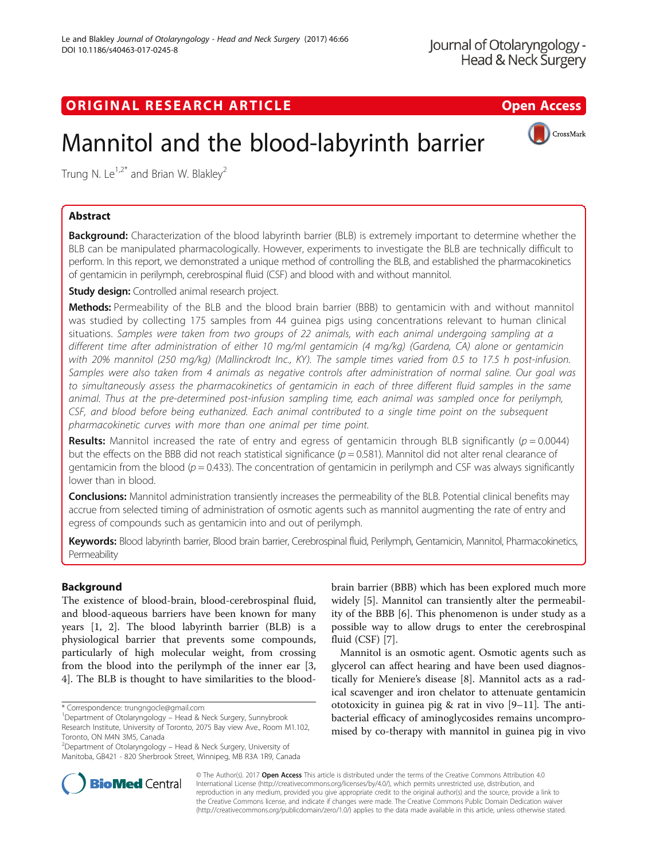# ORIGINAL RESEARCH ARTICLE **External of the Contract Open Access**

# Mannitol and the blood-labyrinth barrier



Trung N. Le<sup>1,2\*</sup> and Brian W. Blakley<sup>2</sup>

# Abstract

Background: Characterization of the blood labyrinth barrier (BLB) is extremely important to determine whether the BLB can be manipulated pharmacologically. However, experiments to investigate the BLB are technically difficult to perform. In this report, we demonstrated a unique method of controlling the BLB, and established the pharmacokinetics of gentamicin in perilymph, cerebrospinal fluid (CSF) and blood with and without mannitol.

**Study design:** Controlled animal research project.

Methods: Permeability of the BLB and the blood brain barrier (BBB) to gentamicin with and without mannitol was studied by collecting 175 samples from 44 guinea pigs using concentrations relevant to human clinical situations. Samples were taken from two groups of 22 animals, with each animal undergoing sampling at a different time after administration of either 10 mg/ml gentamicin (4 mg/kg) (Gardena, CA) alone or gentamicin with 20% mannitol (250 mg/kg) (Mallinckrodt Inc., KY). The sample times varied from 0.5 to 17.5 h post-infusion. Samples were also taken from 4 animals as negative controls after administration of normal saline. Our goal was to simultaneously assess the pharmacokinetics of gentamicin in each of three different fluid samples in the same animal. Thus at the pre-determined post-infusion sampling time, each animal was sampled once for perilymph, CSF, and blood before being euthanized. Each animal contributed to a single time point on the subsequent pharmacokinetic curves with more than one animal per time point.

**Results:** Mannitol increased the rate of entry and egress of gentamicin through BLB significantly ( $p = 0.0044$ ) but the effects on the BBB did not reach statistical significance  $(p = 0.581)$ . Mannitol did not alter renal clearance of gentamicin from the blood  $(p = 0.433)$ . The concentration of gentamicin in perilymph and CSF was always significantly lower than in blood.

Conclusions: Mannitol administration transiently increases the permeability of the BLB. Potential clinical benefits may accrue from selected timing of administration of osmotic agents such as mannitol augmenting the rate of entry and egress of compounds such as gentamicin into and out of perilymph.

Keywords: Blood labyrinth barrier, Blood brain barrier, Cerebrospinal fluid, Perilymph, Gentamicin, Mannitol, Pharmacokinetics, Permeability

## Background

The existence of blood-brain, blood-cerebrospinal fluid, and blood-aqueous barriers have been known for many years [[1, 2\]](#page-5-0). The blood labyrinth barrier (BLB) is a physiological barrier that prevents some compounds, particularly of high molecular weight, from crossing from the blood into the perilymph of the inner ear [\[3](#page-5-0), [4\]](#page-5-0). The BLB is thought to have similarities to the blood-

brain barrier (BBB) which has been explored much more widely [\[5](#page-5-0)]. Mannitol can transiently alter the permeability of the BBB [\[6\]](#page-5-0). This phenomenon is under study as a possible way to allow drugs to enter the cerebrospinal fluid (CSF) [[7](#page-5-0)].

Mannitol is an osmotic agent. Osmotic agents such as glycerol can affect hearing and have been used diagnostically for Meniere's disease [\[8](#page-5-0)]. Mannitol acts as a radical scavenger and iron chelator to attenuate gentamicin ototoxicity in guinea pig & rat in vivo [\[9](#page-5-0)–[11\]](#page-5-0). The antibacterial efficacy of aminoglycosides remains uncompromised by co-therapy with mannitol in guinea pig in vivo



© The Author(s). 2017 **Open Access** This article is distributed under the terms of the Creative Commons Attribution 4.0 International License [\(http://creativecommons.org/licenses/by/4.0/](http://creativecommons.org/licenses/by/4.0/)), which permits unrestricted use, distribution, and reproduction in any medium, provided you give appropriate credit to the original author(s) and the source, provide a link to the Creative Commons license, and indicate if changes were made. The Creative Commons Public Domain Dedication waiver [\(http://creativecommons.org/publicdomain/zero/1.0/](http://creativecommons.org/publicdomain/zero/1.0/)) applies to the data made available in this article, unless otherwise stated.

<sup>\*</sup> Correspondence: [trungngocle@gmail.com](mailto:trungngocle@gmail.com) <sup>1</sup>

Department of Otolaryngology – Head & Neck Surgery, Sunnybrook Research Institute, University of Toronto, 2075 Bay view Ave., Room M1.102, Toronto, ON M4N 3M5, Canada

<sup>&</sup>lt;sup>2</sup>Department of Otolaryngology – Head & Neck Surgery, University of Manitoba, GB421 - 820 Sherbrook Street, Winnipeg, MB R3A 1R9, Canada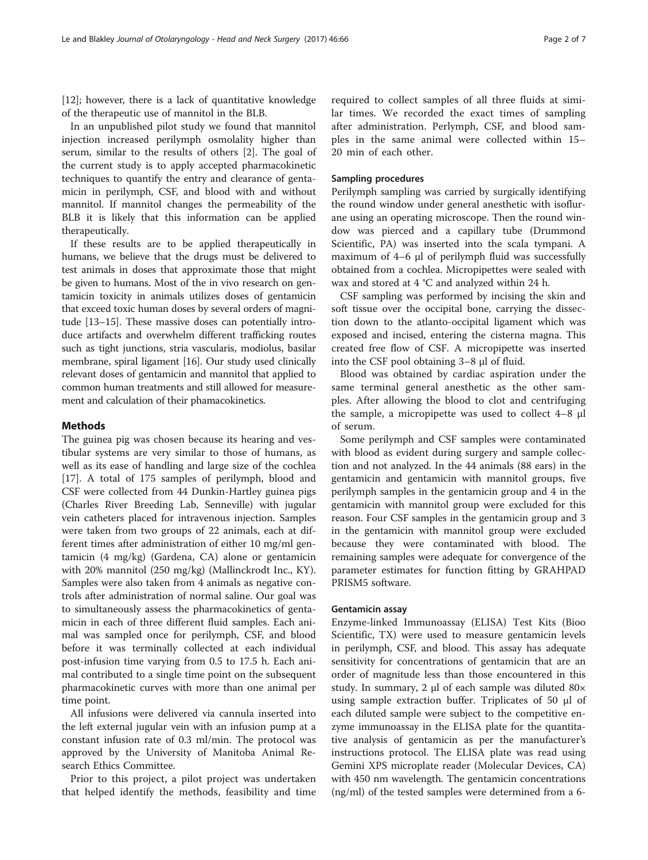[[12\]](#page-5-0); however, there is a lack of quantitative knowledge of the therapeutic use of mannitol in the BLB.

In an unpublished pilot study we found that mannitol injection increased perilymph osmolality higher than serum, similar to the results of others [[2](#page-5-0)]. The goal of the current study is to apply accepted pharmacokinetic techniques to quantify the entry and clearance of gentamicin in perilymph, CSF, and blood with and without mannitol. If mannitol changes the permeability of the BLB it is likely that this information can be applied therapeutically.

If these results are to be applied therapeutically in humans, we believe that the drugs must be delivered to test animals in doses that approximate those that might be given to humans. Most of the in vivo research on gentamicin toxicity in animals utilizes doses of gentamicin that exceed toxic human doses by several orders of magnitude [\[13](#page-5-0)–[15](#page-5-0)]. These massive doses can potentially introduce artifacts and overwhelm different trafficking routes such as tight junctions, stria vascularis, modiolus, basilar membrane, spiral ligament [\[16\]](#page-6-0). Our study used clinically relevant doses of gentamicin and mannitol that applied to common human treatments and still allowed for measurement and calculation of their phamacokinetics.

## Methods

The guinea pig was chosen because its hearing and vestibular systems are very similar to those of humans, as well as its ease of handling and large size of the cochlea [[17\]](#page-6-0). A total of 175 samples of perilymph, blood and CSF were collected from 44 Dunkin-Hartley guinea pigs (Charles River Breeding Lab, Senneville) with jugular vein catheters placed for intravenous injection. Samples were taken from two groups of 22 animals, each at different times after administration of either 10 mg/ml gentamicin (4 mg/kg) (Gardena, CA) alone or gentamicin with 20% mannitol (250 mg/kg) (Mallinckrodt Inc., KY). Samples were also taken from 4 animals as negative controls after administration of normal saline. Our goal was to simultaneously assess the pharmacokinetics of gentamicin in each of three different fluid samples. Each animal was sampled once for perilymph, CSF, and blood before it was terminally collected at each individual post-infusion time varying from 0.5 to 17.5 h. Each animal contributed to a single time point on the subsequent pharmacokinetic curves with more than one animal per time point.

All infusions were delivered via cannula inserted into the left external jugular vein with an infusion pump at a constant infusion rate of 0.3 ml/min. The protocol was approved by the University of Manitoba Animal Research Ethics Committee.

Prior to this project, a pilot project was undertaken that helped identify the methods, feasibility and time

required to collect samples of all three fluids at similar times. We recorded the exact times of sampling after administration. Perlymph, CSF, and blood samples in the same animal were collected within 15– 20 min of each other.

## Sampling procedures

Perilymph sampling was carried by surgically identifying the round window under general anesthetic with isoflurane using an operating microscope. Then the round window was pierced and a capillary tube (Drummond Scientific, PA) was inserted into the scala tympani. A maximum of 4–6 μl of perilymph fluid was successfully obtained from a cochlea. Micropipettes were sealed with wax and stored at 4 °C and analyzed within 24 h.

CSF sampling was performed by incising the skin and soft tissue over the occipital bone, carrying the dissection down to the atlanto-occipital ligament which was exposed and incised, entering the cisterna magna. This created free flow of CSF. A micropipette was inserted into the CSF pool obtaining 3–8 μl of fluid.

Blood was obtained by cardiac aspiration under the same terminal general anesthetic as the other samples. After allowing the blood to clot and centrifuging the sample, a micropipette was used to collect 4–8 μl of serum.

Some perilymph and CSF samples were contaminated with blood as evident during surgery and sample collection and not analyzed. In the 44 animals (88 ears) in the gentamicin and gentamicin with mannitol groups, five perilymph samples in the gentamicin group and 4 in the gentamicin with mannitol group were excluded for this reason. Four CSF samples in the gentamicin group and 3 in the gentamicin with mannitol group were excluded because they were contaminated with blood. The remaining samples were adequate for convergence of the parameter estimates for function fitting by GRAHPAD PRISM5 software.

#### Gentamicin assay

Enzyme-linked Immunoassay (ELISA) Test Kits (Bioo Scientific, TX) were used to measure gentamicin levels in perilymph, CSF, and blood. This assay has adequate sensitivity for concentrations of gentamicin that are an order of magnitude less than those encountered in this study. In summary, 2 μl of each sample was diluted 80× using sample extraction buffer. Triplicates of 50 μl of each diluted sample were subject to the competitive enzyme immunoassay in the ELISA plate for the quantitative analysis of gentamicin as per the manufacturer's instructions protocol. The ELISA plate was read using Gemini XPS microplate reader (Molecular Devices, CA) with 450 nm wavelength. The gentamicin concentrations (ng/ml) of the tested samples were determined from a 6-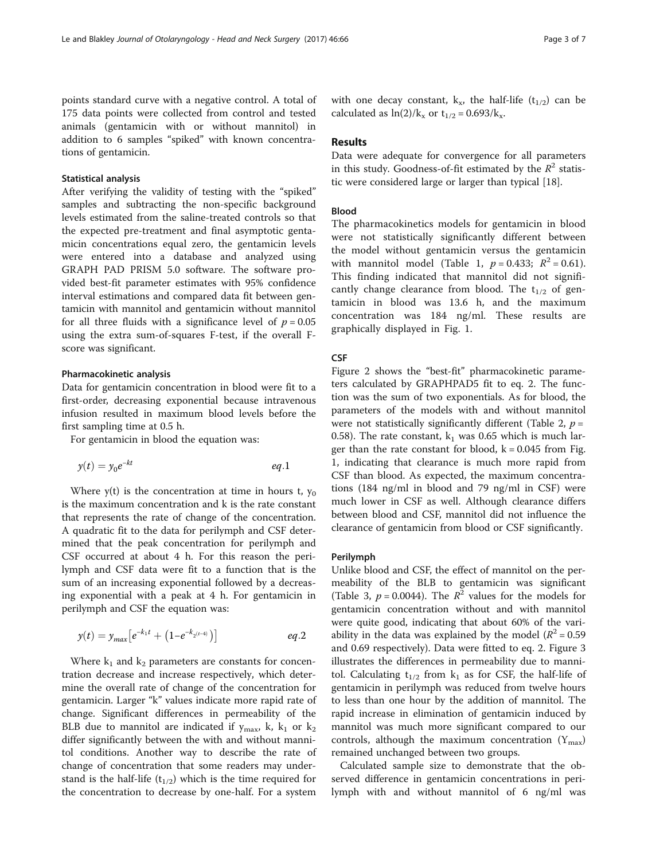points standard curve with a negative control. A total of 175 data points were collected from control and tested animals (gentamicin with or without mannitol) in addition to 6 samples "spiked" with known concentrations of gentamicin.

#### Statistical analysis

After verifying the validity of testing with the "spiked" samples and subtracting the non-specific background levels estimated from the saline-treated controls so that the expected pre-treatment and final asymptotic gentamicin concentrations equal zero, the gentamicin levels were entered into a database and analyzed using GRAPH PAD PRISM 5.0 software. The software provided best-fit parameter estimates with 95% confidence interval estimations and compared data fit between gentamicin with mannitol and gentamicin without mannitol for all three fluids with a significance level of  $p = 0.05$ using the extra sum-of-squares F-test, if the overall Fscore was significant.

#### Pharmacokinetic analysis

Data for gentamicin concentration in blood were fit to a first-order, decreasing exponential because intravenous infusion resulted in maximum blood levels before the first sampling time at 0.5 h.

For gentamicin in blood the equation was:

$$
y(t) = y_0 e^{-kt} \qquad \qquad eq.1
$$

Where  $y(t)$  is the concentration at time in hours t,  $y_0$ is the maximum concentration and k is the rate constant that represents the rate of change of the concentration. A quadratic fit to the data for perilymph and CSF determined that the peak concentration for perilymph and CSF occurred at about 4 h. For this reason the perilymph and CSF data were fit to a function that is the sum of an increasing exponential followed by a decreasing exponential with a peak at 4 h. For gentamicin in perilymph and CSF the equation was:

$$
y(t) = y_{max} [e^{-k_1 t} + (1 - e^{-k_2 (t-4)})]
$$
 *eq.2*

Where  $k_1$  and  $k_2$  parameters are constants for concentration decrease and increase respectively, which determine the overall rate of change of the concentration for gentamicin. Larger "k" values indicate more rapid rate of change. Significant differences in permeability of the BLB due to mannitol are indicated if  $y_{\text{max}}$ , k, k<sub>1</sub> or k<sub>2</sub> differ significantly between the with and without mannitol conditions. Another way to describe the rate of change of concentration that some readers may understand is the half-life  $(t_{1/2})$  which is the time required for the concentration to decrease by one-half. For a system

with one decay constant,  $k_x$ , the half-life (t<sub>1/2</sub>) can be calculated as  $\ln(2)/k_x$  or  $t_{1/2} = 0.693/k_x$ .

## Results

Data were adequate for convergence for all parameters in this study. Goodness-of-fit estimated by the  $R^2$  statistic were considered large or larger than typical [\[18\]](#page-6-0).

#### Blood

The pharmacokinetics models for gentamicin in blood were not statistically significantly different between the model without gentamicin versus the gentamicin with mannitol model (Table [1](#page-3-0),  $p = 0.433$ ;  $R^2 = 0.61$ ). This finding indicated that mannitol did not significantly change clearance from blood. The  $t_{1/2}$  of gentamicin in blood was 13.6 h, and the maximum concentration was 184 ng/ml. These results are graphically displayed in Fig. [1](#page-3-0).

#### **CSF**

Figure [2](#page-3-0) shows the "best-fit" pharmacokinetic parameters calculated by GRAPHPAD5 fit to eq. 2. The function was the sum of two exponentials. As for blood, the parameters of the models with and without mannitol were not statistically significantly different (Table [2](#page-4-0),  $p =$ 0.58). The rate constant,  $k_1$  was 0.65 which is much larger than the rate constant for blood,  $k = 0.045$  from Fig. [1,](#page-3-0) indicating that clearance is much more rapid from CSF than blood. As expected, the maximum concentrations (184 ng/ml in blood and 79 ng/ml in CSF) were much lower in CSF as well. Although clearance differs between blood and CSF, mannitol did not influence the clearance of gentamicin from blood or CSF significantly.

## Perilymph

Unlike blood and CSF, the effect of mannitol on the permeability of the BLB to gentamicin was significant (Table [3](#page-4-0),  $p = 0.0044$ ). The  $R^2$  values for the models for gentamicin concentration without and with mannitol were quite good, indicating that about 60% of the variability in the data was explained by the model ( $R^2 = 0.59$ ) and 0.69 respectively). Data were fitted to eq. 2. Figure [3](#page-5-0) illustrates the differences in permeability due to mannitol. Calculating  $t_{1/2}$  from  $k_1$  as for CSF, the half-life of gentamicin in perilymph was reduced from twelve hours to less than one hour by the addition of mannitol. The rapid increase in elimination of gentamicin induced by mannitol was much more significant compared to our controls, although the maximum concentration  $(Y_{max})$ remained unchanged between two groups.

Calculated sample size to demonstrate that the observed difference in gentamicin concentrations in perilymph with and without mannitol of 6 ng/ml was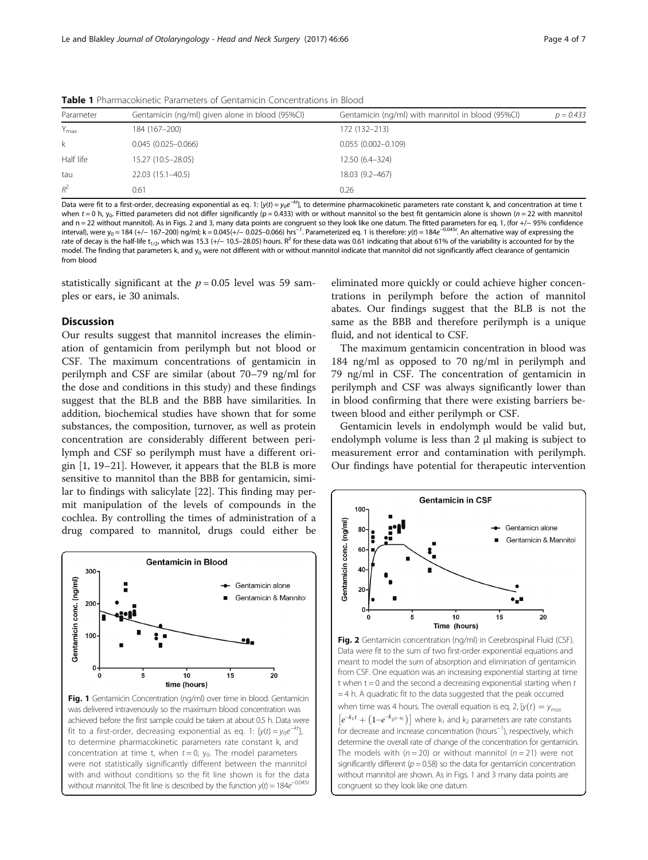<span id="page-3-0"></span>Table 1 Pharmacokinetic Parameters of Gentamicin Concentrations in Blood

| Parameter        | Gentamicin (ng/ml) given alone in blood (95%Cl) | Gentamicin (ng/ml) with mannitol in blood (95%Cl) | $p = 0.433$ |
|------------------|-------------------------------------------------|---------------------------------------------------|-------------|
| $Y_{\text{max}}$ | 184 (167-200)                                   | 172 (132-213)                                     |             |
| k                | $0.045(0.025 - 0.066)$                          | $0.055(0.002 - 0.109)$                            |             |
| Half life        | 15.27 (10.5-28.05)                              | 12.50 (6.4-324)                                   |             |
| tau              | $22.03(15.1-40.5)$                              | 18.03 (9.2-467)                                   |             |
| $R^2$            | 0.61                                            | 0.26                                              |             |

Data were fit to a first-order, decreasing exponential as eq. 1: [y(t) =  $y_0e^{-kt}$ ], to determine pharmacokinetic parameters rate constant k, and concentration at time t when  $t = 0$  h, y<sub>0</sub>. Fitted parameters did not differ significantly (p = 0.433) with or without mannitol so the best fit gentamicin alone is shown (n = 22 with mannitol and n = 22 without mannitol). As in Figs. 2 and [3,](#page-5-0) many data points are congruent so they look like one datum. The fitted parameters for eq. 1, (for +/– 95% confidence<br>interval), were y<sub>o</sub> = 184 (+/– 167–200) ng/ml; k = 0. rate of decay is the half-life t<sub>1/2</sub>, which was 15.3 (+/- 10.5–28.05) hours. R<sup>2</sup> for these data was 0.61 indicating that about 61% of the variability is accounted for by the model. The finding that parameters k, and y<sub>0</sub> were not different with or without mannitol indicate that mannitol did not significantly affect clearance of gentamicin from blood

statistically significant at the  $p = 0.05$  level was 59 samples or ears, ie 30 animals.

## **Discussion**

Our results suggest that mannitol increases the elimination of gentamicin from perilymph but not blood or CSF. The maximum concentrations of gentamicin in perilymph and CSF are similar (about 70–79 ng/ml for the dose and conditions in this study) and these findings suggest that the BLB and the BBB have similarities. In addition, biochemical studies have shown that for some substances, the composition, turnover, as well as protein concentration are considerably different between perilymph and CSF so perilymph must have a different origin [[1,](#page-5-0) [19](#page-6-0)–[21](#page-6-0)]. However, it appears that the BLB is more sensitive to mannitol than the BBB for gentamicin, similar to findings with salicylate [[22\]](#page-6-0). This finding may permit manipulation of the levels of compounds in the cochlea. By controlling the times of administration of a drug compared to mannitol, drugs could either be



Fig. 1 Gentamicin Concentration (ng/ml) over time in blood. Gentamicin was delivered intravenously so the maximum blood concentration was achieved before the first sample could be taken at about 0.5 h. Data were fit to a first-order, decreasing exponential as eq. 1:  $[y(t) = y_0 e^{-kt}]$ , to determine pharmacokinetic parameters rate constant k, and concentration at time t, when  $t = 0$ ,  $y_0$ . The model parameters were not statistically significantly different between the mannitol with and without conditions so the fit line shown is for the data without mannitol. The fit line is described by the function  $y(t) = 184e^{-0.045t}$ 

eliminated more quickly or could achieve higher concentrations in perilymph before the action of mannitol abates. Our findings suggest that the BLB is not the same as the BBB and therefore perilymph is a unique fluid, and not identical to CSF.

The maximum gentamicin concentration in blood was 184 ng/ml as opposed to 70 ng/ml in perilymph and 79 ng/ml in CSF. The concentration of gentamicin in perilymph and CSF was always significantly lower than in blood confirming that there were existing barriers between blood and either perilymph or CSF.

Gentamicin levels in endolymph would be valid but, endolymph volume is less than 2 μl making is subject to measurement error and contamination with perilymph. Our findings have potential for therapeutic intervention



Fig. 2 Gentamicin concentration (ng/ml) in Cerebrospinal Fluid (CSF). Data were fit to the sum of two first-order exponential equations and meant to model the sum of absorption and elimination of gentamicin from CSF. One equation was an increasing exponential starting at time t when  $t = 0$  and the second a decreasing exponential starting when  $t$  $=$  4 h. A quadratic fit to the data suggested that the peak occurred when time was 4 hours. The overall equation is eq. 2,  $[y(t) = y_{max}]$  $\left[e^{-k_1 t} + \left(1-e^{-k_2(t-4)}\right)\right]$  where  $k_1$  and  $k_2$  parameters are rate constants for decrease and increase concentration (hours−<sup>1</sup> ), respectively, which determine the overall rate of change of the concentration for gentamicin. The models with ( $n = 20$ ) or without mannitol ( $n = 21$ ) were not significantly different ( $p = 0.58$ ) so the data for gentamicin concentration without mannitol are shown. As in Figs. 1 and [3](#page-5-0) many data points are congruent so they look like one datum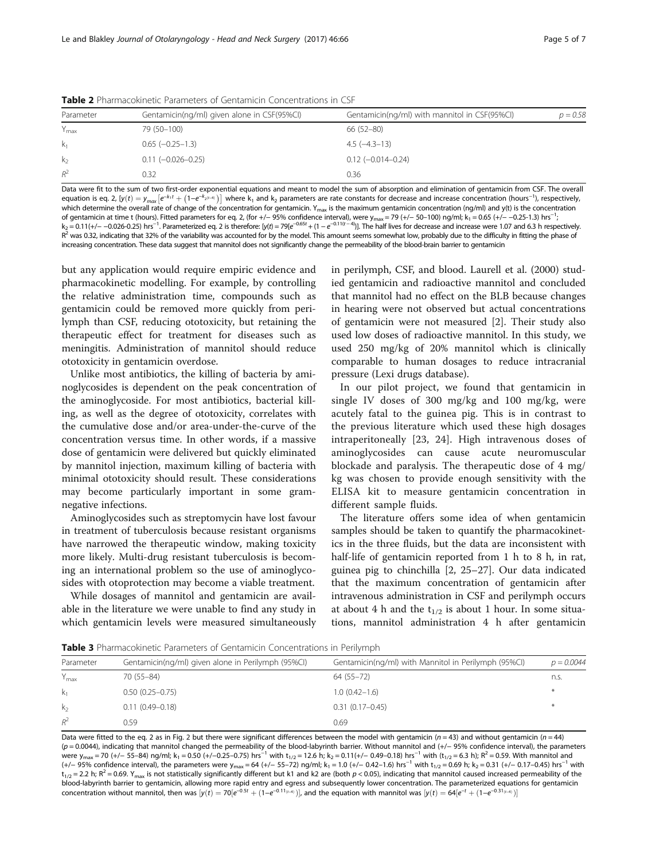| Parameter        | Gentamicin(ng/ml) given alone in CSF(95%Cl) | Gentamicin(ng/ml) with mannitol in CSF(95%CI) | $p = 0.58$ |  |  |
|------------------|---------------------------------------------|-----------------------------------------------|------------|--|--|
| $Y_{\text{max}}$ | 79 (50-100)                                 | 66 (52-80)                                    |            |  |  |
| $k_1$            | $0.65$ $(-0.25-1.3)$                        | $4.5(-4.3-13)$                                |            |  |  |
| k <sub>2</sub>   | $0.11 (-0.026 - 0.25)$                      | $0.12$ (-0.014-0.24)                          |            |  |  |
| $R^2$            | 0.32                                        | 0.36                                          |            |  |  |

<span id="page-4-0"></span>Table 2 Pharmacokinetic Parameters of Gentamicin Concentrations in CSF

Data were fit to the sum of two first-order exponential equations and meant to model the sum of absorption and elimination of gentamicin from CSF. The overall equation is eq. 2, [y(t) =  $y_{max} [e^{-k_1 t} + (1 - e^{-k_2(t-4)})]$  where  $k_1$  and  $k_2$  parameters are rate constants for decrease and increase concentration (hours<sup>-1</sup>), respectively, which determine the overall rate of change of the concentration for gentamicin. Y<sub>max</sub> is the maximum gentamicin concentration (ng/ml) and y(t) is the concentration of gentamicin at time t (hours). Fitted parameters for eq. 2, (for +/− 95% confidence interval), were y<sub>max</sub> = 79 (+/− 50−100) ng/ml; k<sub>1</sub> = 0.65 (+/− −0.25-1.3) hrs<sup>−1</sup> ;  $k_2$  = 0.11(+/− −0.026-0.25) hrs<sup>−1</sup>. Parameterized eq. 2 is therefore: [y(t) = 79[e<sup>-0.65t</sup> + (1 − e<sup>-0.11(t-4)</sup>)]. The half lives for decrease and increase were 1.07 and 6.3 h respectively.  $R^2$  was 0.32, indicating that 32% of the variability was accounted for by the model. This amount seems somewhat low, probably due to the difficulty in fitting the phase of increasing concentration. These data suggest that mannitol does not significantly change the permeability of the blood-brain barrier to gentamicin

but any application would require empiric evidence and pharmacokinetic modelling. For example, by controlling the relative administration time, compounds such as gentamicin could be removed more quickly from perilymph than CSF, reducing ototoxicity, but retaining the therapeutic effect for treatment for diseases such as meningitis. Administration of mannitol should reduce ototoxicity in gentamicin overdose.

Unlike most antibiotics, the killing of bacteria by aminoglycosides is dependent on the peak concentration of the aminoglycoside. For most antibiotics, bacterial killing, as well as the degree of ototoxicity, correlates with the cumulative dose and/or area-under-the-curve of the concentration versus time. In other words, if a massive dose of gentamicin were delivered but quickly eliminated by mannitol injection, maximum killing of bacteria with minimal ototoxicity should result. These considerations may become particularly important in some gramnegative infections.

Aminoglycosides such as streptomycin have lost favour in treatment of tuberculosis because resistant organisms have narrowed the therapeutic window, making toxicity more likely. Multi-drug resistant tuberculosis is becoming an international problem so the use of aminoglycosides with otoprotection may become a viable treatment.

While dosages of mannitol and gentamicin are available in the literature we were unable to find any study in which gentamicin levels were measured simultaneously in perilymph, CSF, and blood. Laurell et al. (2000) studied gentamicin and radioactive mannitol and concluded that mannitol had no effect on the BLB because changes in hearing were not observed but actual concentrations of gentamicin were not measured [\[2](#page-5-0)]. Their study also used low doses of radioactive mannitol. In this study, we used 250 mg/kg of 20% mannitol which is clinically comparable to human dosages to reduce intracranial pressure (Lexi drugs database).

In our pilot project, we found that gentamicin in single IV doses of 300 mg/kg and 100 mg/kg, were acutely fatal to the guinea pig. This is in contrast to the previous literature which used these high dosages intraperitoneally [\[23](#page-6-0), [24](#page-6-0)]. High intravenous doses of aminoglycosides can cause acute neuromuscular blockade and paralysis. The therapeutic dose of 4 mg/ kg was chosen to provide enough sensitivity with the ELISA kit to measure gentamicin concentration in different sample fluids.

The literature offers some idea of when gentamicin samples should be taken to quantify the pharmacokinetics in the three fluids, but the data are inconsistent with half-life of gentamicin reported from 1 h to 8 h, in rat, guinea pig to chinchilla [\[2](#page-5-0), [25](#page-6-0)–[27](#page-6-0)]. Our data indicated that the maximum concentration of gentamicin after intravenous administration in CSF and perilymph occurs at about 4 h and the  $t_{1/2}$  is about 1 hour. In some situations, mannitol administration 4 h after gentamicin

Table 3 Pharmacokinetic Parameters of Gentamicin Concentrations in Perilymph

| Parameter        | Gentamicin(ng/ml) given alone in Perilymph (95%Cl) | Gentamicin(ng/ml) with Mannitol in Perilymph (95%Cl) | $p = 0.0044$ |
|------------------|----------------------------------------------------|------------------------------------------------------|--------------|
| $Y_{\text{max}}$ | 70 (55-84)                                         | 64 (55-72)                                           | n.s.         |
| $k_1$            | $0.50(0.25 - 0.75)$                                | $1.0(0.42 - 1.6)$                                    |              |
| k <sub>2</sub>   | $0.11(0.49 - 0.18)$                                | $0.31(0.17 - 0.45)$                                  |              |
| $R^2$            | 0.59                                               | 0.69                                                 |              |

Data were fitted to the eq. [2](#page-3-0) as in Fig. 2 but there were significant differences between the model with gentamicin ( $n = 43$ ) and without gentamicin ( $n = 44$ ) (p = 0.0044), indicating that mannitol changed the permeability of the blood-labyrinth barrier. Without mannitol and (+/– 95% confidence interval), the parameters<br>were y<sub>max</sub> = 70 (+/– 55–84) ng/ml; k<sub>1</sub> = 0.50 (+/–0.25–0. (+/− 95% confidence interval), the parameters were  $y_{\text{max}} = 64$  (+/− 55–72) ng/ml; k<sub>1</sub> = 1.0 (+/− 0.42–1.6) hrs<sup>-1</sup> with t<sub>1/2</sub> = 0.69 h; k<sub>2</sub> = 0.31 (+/− 0.17–0.45) hrs<sup>-1</sup> with  $t_{1/2}$  = 2.2 h; R<sup>2</sup> = 0.69. Y<sub>max</sub> is not statistically significantly different but k1 and k2 are (both  $p$  < 0.05), indicating that mannitol caused increased permeability of the blood-labyrinth barrier to gentamicin, allowing more rapid entry and egress and subsequently lower concentration. The parameterized equations for gentamicin  $\text{concentration without mannitol}, \text{ then was } [y(t) = 70[e^{-0.5t} + (1-e^{-0.11_{(t\rightarrow t)}})], \text{ and the equation with mannitol was } [y(t) = 64[e^{-t} + (1-e^{-0.31_{(t\rightarrow t)}})]$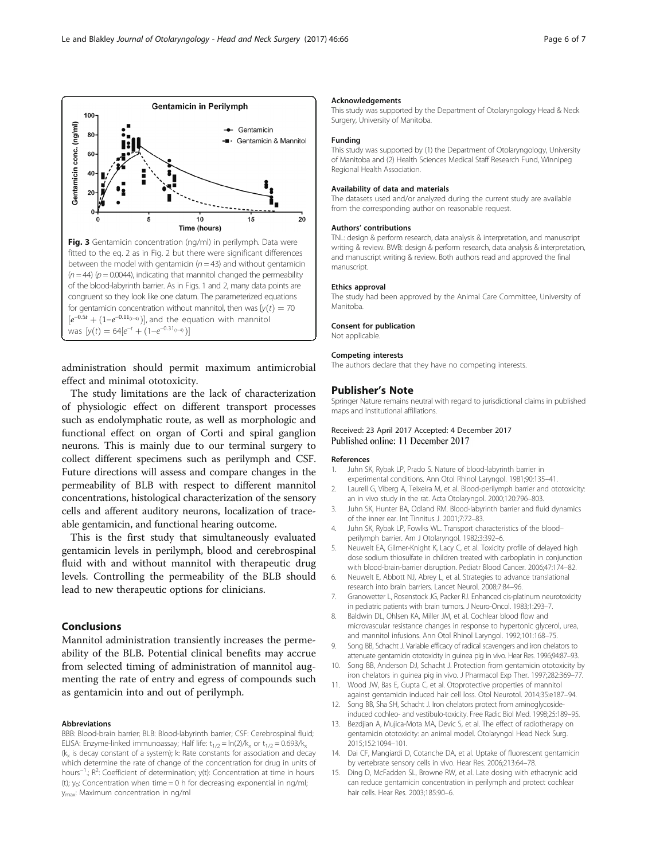administration should permit maximum antimicrobial effect and minimal ototoxicity.

The study limitations are the lack of characterization of physiologic effect on different transport processes such as endolymphatic route, as well as morphologic and functional effect on organ of Corti and spiral ganglion neurons. This is mainly due to our terminal surgery to collect different specimens such as perilymph and CSF. Future directions will assess and compare changes in the permeability of BLB with respect to different mannitol concentrations, histological characterization of the sensory cells and afferent auditory neurons, localization of traceable gentamicin, and functional hearing outcome.

This is the first study that simultaneously evaluated gentamicin levels in perilymph, blood and cerebrospinal fluid with and without mannitol with therapeutic drug levels. Controlling the permeability of the BLB should lead to new therapeutic options for clinicians.

## Conclusions

Mannitol administration transiently increases the permeability of the BLB. Potential clinical benefits may accrue from selected timing of administration of mannitol augmenting the rate of entry and egress of compounds such as gentamicin into and out of perilymph.

#### Abbreviations

BBB: Blood-brain barrier; BLB: Blood-labyrinth barrier; CSF: Cerebrospinal fluid; ELISA: Enzyme-linked immunoassay; Half life:  $t_{1/2} = \ln(2)/k_x$  or  $t_{1/2} = 0.693/k_x$  $(k_x)$  is decay constant of a system); k: Rate constants for association and decay which determine the rate of change of the concentration for drug in units of hours<sup>-1</sup>.; R<sup>2</sup>: Coefficient of determination; y(t): Concentration at time in hours (t);  $y_0$ : Concentration when time = 0 h for decreasing exponential in ng/ml; ymax: Maximum concentration in ng/ml

#### Acknowledgements

This study was supported by the Department of Otolaryngology Head & Neck Surgery, University of Manitoba.

#### Funding

This study was supported by (1) the Department of Otolaryngology, University of Manitoba and (2) Health Sciences Medical Staff Research Fund, Winnipeg Regional Health Association.

#### Availability of data and materials

The datasets used and/or analyzed during the current study are available from the corresponding author on reasonable request.

#### Authors' contributions

TNL: design & perform research, data analysis & interpretation, and manuscript writing & review. BWB: design & perform research, data analysis & interpretation, and manuscript writing & review. Both authors read and approved the final manuscript.

#### Ethics approval

The study had been approved by the Animal Care Committee, University of Manitoba.

#### Consent for publication

Not applicable.

#### Competing interests

The authors declare that they have no competing interests.

#### Publisher's Note

Springer Nature remains neutral with regard to jurisdictional claims in published maps and institutional affiliations.

## Received: 23 April 2017 Accepted: 4 December 2017 Published online: 11 December 2017

#### References

- 1. Juhn SK, Rybak LP, Prado S. Nature of blood-labyrinth barrier in experimental conditions. Ann Otol Rhinol Laryngol. 1981;90:135–41.
- 2. Laurell G, Viberg A, Teixeira M, et al. Blood-perilymph barrier and ototoxicity: an in vivo study in the rat. Acta Otolaryngol. 2000;120:796–803.
- 3. Juhn SK, Hunter BA, Odland RM. Blood-labyrinth barrier and fluid dynamics of the inner ear. Int Tinnitus J. 2001;7:72–83.
- 4. Juhn SK, Rybak LP, Fowlks WL. Transport characteristics of the blood– perilymph barrier. Am J Otolaryngol. 1982;3:392–6.
- 5. Neuwelt EA, Gilmer-Knight K, Lacy C, et al. Toxicity profile of delayed high dose sodium thiosulfate in children treated with carboplatin in conjunction with blood-brain-barrier disruption. Pediatr Blood Cancer. 2006;47:174–82.
- 6. Neuwelt E, Abbott NJ, Abrey L, et al. Strategies to advance translational research into brain barriers. Lancet Neurol. 2008;7:84–96.
- 7. Granowetter L, Rosenstock JG, Packer RJ. Enhanced cis-platinum neurotoxicity in pediatric patients with brain tumors. J Neuro-Oncol. 1983;1:293–7.
- 8. Baldwin DL, Ohlsen KA, Miller JM, et al. Cochlear blood flow and microvascular resistance changes in response to hypertonic glycerol, urea, and mannitol infusions. Ann Otol Rhinol Laryngol. 1992;101:168–75.
- 9. Song BB, Schacht J. Variable efficacy of radical scavengers and iron chelators to attenuate gentamicin ototoxicity in guinea pig in vivo. Hear Res. 1996;94:87–93.
- 10. Song BB, Anderson DJ, Schacht J. Protection from gentamicin ototoxicity by iron chelators in guinea pig in vivo. J Pharmacol Exp Ther. 1997;282:369–77.
- 11. Wood JW, Bas E, Gupta C, et al. Otoprotective properties of mannitol against gentamicin induced hair cell loss. Otol Neurotol. 2014;35:e187–94.
- 12. Song BB, Sha SH, Schacht J. Iron chelators protect from aminoglycosideinduced cochleo- and vestibulo-toxicity. Free Radic Biol Med. 1998;25:189–95.
- 13. Bezdjian A, Mujica-Mota MA, Devic S, et al. The effect of radiotherapy on gentamicin ototoxicity: an animal model. Otolaryngol Head Neck Surg. 2015;152:1094–101.
- 14. Dai CF, Mangiardi D, Cotanche DA, et al. Uptake of fluorescent gentamicin by vertebrate sensory cells in vivo. Hear Res. 2006;213:64–78.
- 15. Ding D, McFadden SL, Browne RW, et al. Late dosing with ethacrynic acid can reduce gentamicin concentration in perilymph and protect cochlear hair cells. Hear Res. 2003;185:90–6.

<span id="page-5-0"></span>